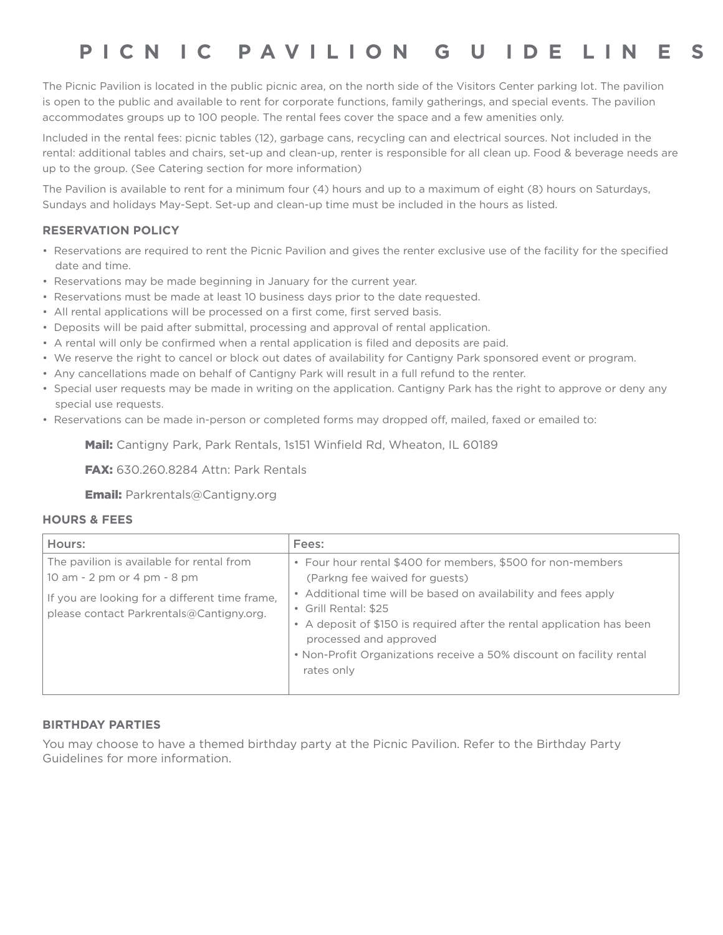# **PICN I C P A VILION G U IDE LIN E S**

The Picnic Pavilion is located in the public picnic area, on the north side of the Visitors Center parking lot. The pavilion is open to the public and available to rent for corporate functions, family gatherings, and special events. The pavilion accommodates groups up to 100 people. The rental fees cover the space and a few amenities only.

Included in the rental fees: picnic tables (12), garbage cans, recycling can and electrical sources. Not included in the rental: additional tables and chairs, set-up and clean-up, renter is responsible for all clean up. Food & beverage needs are up to the group. (See Catering section for more information)

The Pavilion is available to rent for a minimum four (4) hours and up to a maximum of eight (8) hours on Saturdays, Sundays and holidays May-Sept. Set-up and clean-up time must be included in the hours as listed.

## **RESERVATION POLICY**

- Reservations are required to rent the Picnic Pavilion and gives the renter exclusive use of the facility for the specified date and time.
- Reservations may be made beginning in January for the current year.
- Reservations must be made at least 10 business days prior to the date requested.
- All rental applications will be processed on a first come, first served basis.
- Deposits will be paid after submittal, processing and approval of rental application.
- A rental will only be confirmed when a rental application is filed and deposits are paid.
- We reserve the right to cancel or block out dates of availability for Cantigny Park sponsored event or program.
- Any cancellations made on behalf of Cantigny Park will result in a full refund to the renter.
- Special user requests may be made in writing on the application. Cantigny Park has the right to approve or deny any special use requests.
- Reservations can be made in-person or completed forms may dropped off, mailed, faxed or emailed to:

Mail: Cantigny Park, Park Rentals, 1s151 Winfield Rd, Wheaton, IL 60189

FAX: 630.260.8284 Attn: Park Rentals

Email: Parkrentals@Cantigny.org

## **HOURS & FEES**

| Hours:                                                                                                                                                                 | Fees:                                                                                                                                                                                                                                                                                                                                                                             |
|------------------------------------------------------------------------------------------------------------------------------------------------------------------------|-----------------------------------------------------------------------------------------------------------------------------------------------------------------------------------------------------------------------------------------------------------------------------------------------------------------------------------------------------------------------------------|
| The pavilion is available for rental from<br>10 am - 2 pm or 4 pm - 8 pm<br>If you are looking for a different time frame,<br>please contact Parkrentals@Cantigny.org. | • Four hour rental \$400 for members, \$500 for non-members<br>(Parkng fee waived for quests)<br>• Additional time will be based on availability and fees apply<br>• Grill Rental: \$25<br>• A deposit of \$150 is required after the rental application has been<br>processed and approved<br>• Non-Profit Organizations receive a 50% discount on facility rental<br>rates only |

#### **BIRTHDAY PARTIES**

You may choose to have a themed birthday party at the Picnic Pavilion. Refer to the Birthday Party Guidelines for more information.